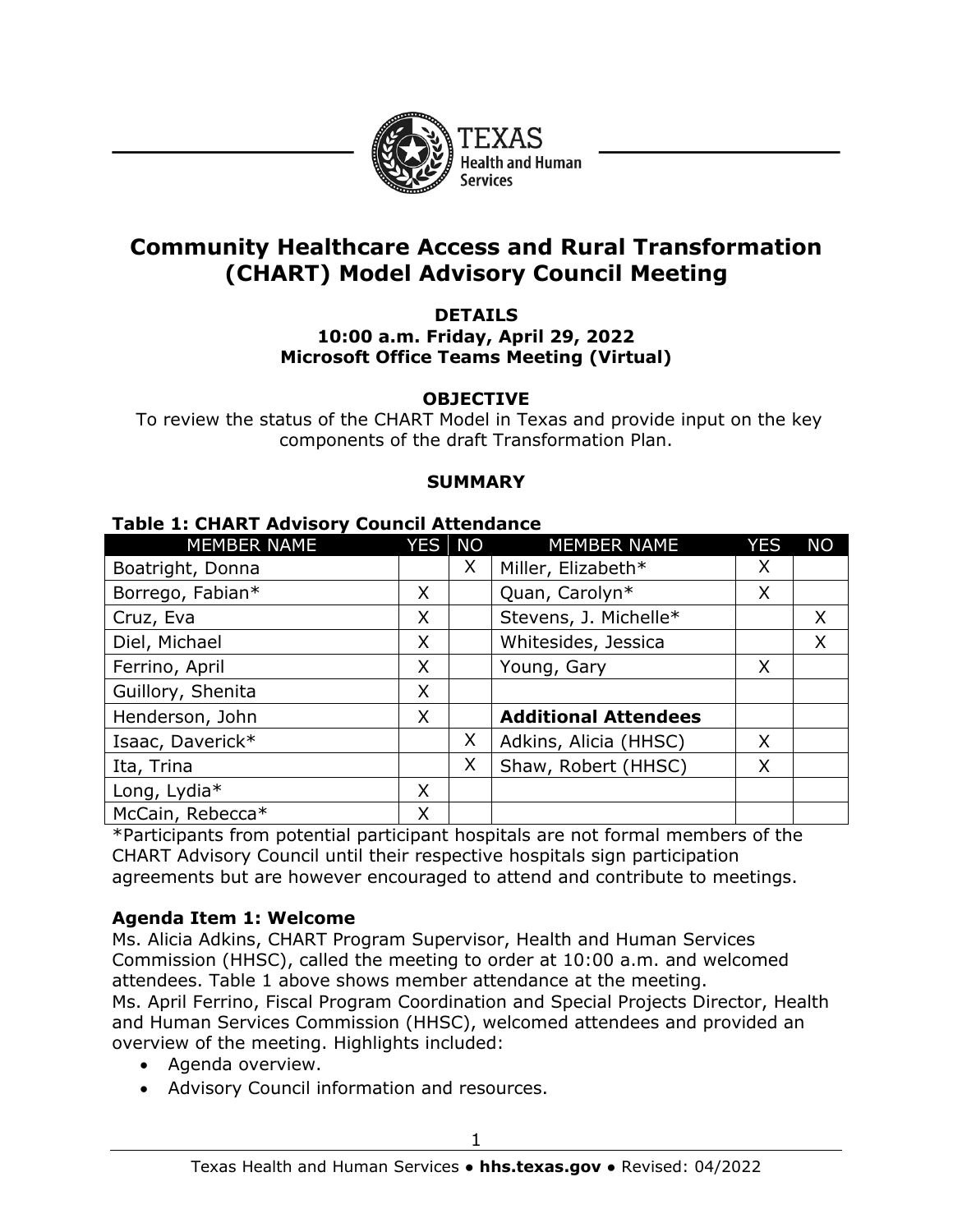

# **Community Healthcare Access and Rural Transformation (CHART) Model Advisory Council Meeting**

#### **DETAILS 10:00 a.m. Friday, April 29, 2022 Microsoft Office Teams Meeting (Virtual)**

#### **OBJECTIVE**

To review the status of the CHART Model in Texas and provide input on the key components of the draft Transformation Plan.

#### **SUMMARY**

#### **Table 1: CHART Advisory Council Attendance**

| <b>MEMBER NAME</b> | YES | <b>NO</b> | <b>MEMBER NAME</b>          | YES | <b>NO</b> |
|--------------------|-----|-----------|-----------------------------|-----|-----------|
| Boatright, Donna   |     | X         | Miller, Elizabeth*          | X   |           |
| Borrego, Fabian*   | X   |           | Quan, Carolyn*              | X   |           |
| Cruz, Eva          | X   |           | Stevens, J. Michelle*       |     | X         |
| Diel, Michael      | X   |           | Whitesides, Jessica         |     | X         |
| Ferrino, April     | X   |           | Young, Gary                 | X   |           |
| Guillory, Shenita  | X   |           |                             |     |           |
| Henderson, John    | X   |           | <b>Additional Attendees</b> |     |           |
| Isaac, Daverick*   |     | X         | Adkins, Alicia (HHSC)       | X   |           |
| Ita, Trina         |     | X         | Shaw, Robert (HHSC)         | X   |           |
| Long, Lydia*       | X   |           |                             |     |           |
| McCain, Rebecca*   | X   |           |                             |     |           |

\*Participants from potential participant hospitals are not formal members of the CHART Advisory Council until their respective hospitals sign participation agreements but are however encouraged to attend and contribute to meetings.

#### **Agenda Item 1: Welcome**

Ms. Alicia Adkins, CHART Program Supervisor, Health and Human Services Commission (HHSC), called the meeting to order at 10:00 a.m. and welcomed attendees. Table 1 above shows member attendance at the meeting. Ms. April Ferrino, Fiscal Program Coordination and Special Projects Director, Health and Human Services Commission (HHSC), welcomed attendees and provided an overview of the meeting. Highlights included:

- Agenda overview.
- Advisory Council information and resources.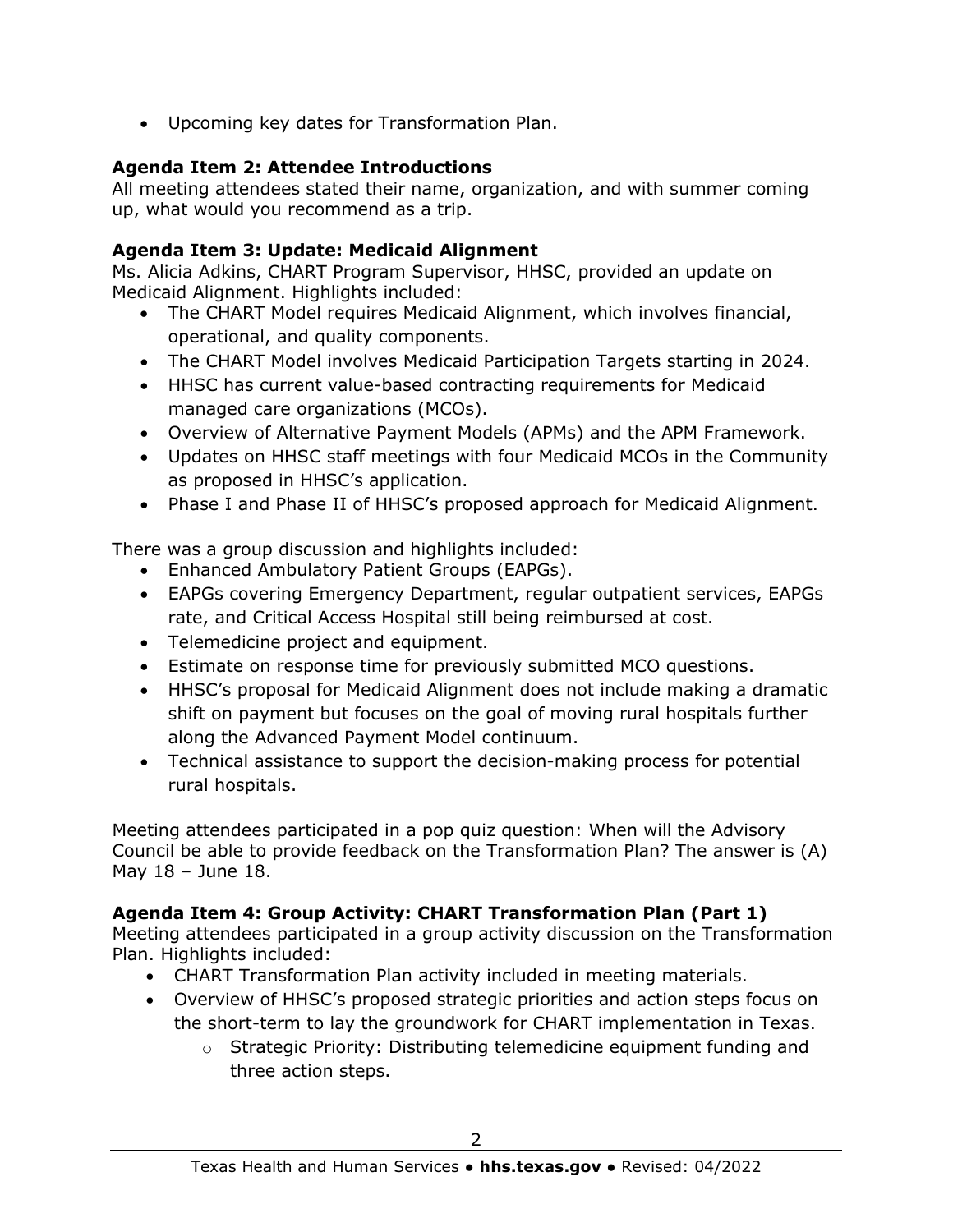• Upcoming key dates for Transformation Plan.

### **Agenda Item 2: Attendee Introductions**

All meeting attendees stated their name, organization, and with summer coming up, what would you recommend as a trip.

### **Agenda Item 3: Update: Medicaid Alignment**

Ms. Alicia Adkins, CHART Program Supervisor, HHSC, provided an update on Medicaid Alignment. Highlights included:

- The CHART Model requires Medicaid Alignment, which involves financial, operational, and quality components.
- The CHART Model involves Medicaid Participation Targets starting in 2024.
- HHSC has current value-based contracting requirements for Medicaid managed care organizations (MCOs).
- Overview of Alternative Payment Models (APMs) and the APM Framework.
- Updates on HHSC staff meetings with four Medicaid MCOs in the Community as proposed in HHSC's application.
- Phase I and Phase II of HHSC's proposed approach for Medicaid Alignment.

There was a group discussion and highlights included:

- Enhanced Ambulatory Patient Groups (EAPGs).
- EAPGs covering Emergency Department, regular outpatient services, EAPGs rate, and Critical Access Hospital still being reimbursed at cost.
- Telemedicine project and equipment.
- Estimate on response time for previously submitted MCO questions.
- HHSC's proposal for Medicaid Alignment does not include making a dramatic shift on payment but focuses on the goal of moving rural hospitals further along the Advanced Payment Model continuum.
- Technical assistance to support the decision-making process for potential rural hospitals.

Meeting attendees participated in a pop quiz question: When will the Advisory Council be able to provide feedback on the Transformation Plan? The answer is (A) May 18 – June 18.

### **Agenda Item 4: Group Activity: CHART Transformation Plan (Part 1)**

Meeting attendees participated in a group activity discussion on the Transformation Plan. Highlights included:

- CHART Transformation Plan activity included in meeting materials.
- Overview of HHSC's proposed strategic priorities and action steps focus on the short-term to lay the groundwork for CHART implementation in Texas.
	- $\circ$  Strategic Priority: Distributing telemedicine equipment funding and three action steps.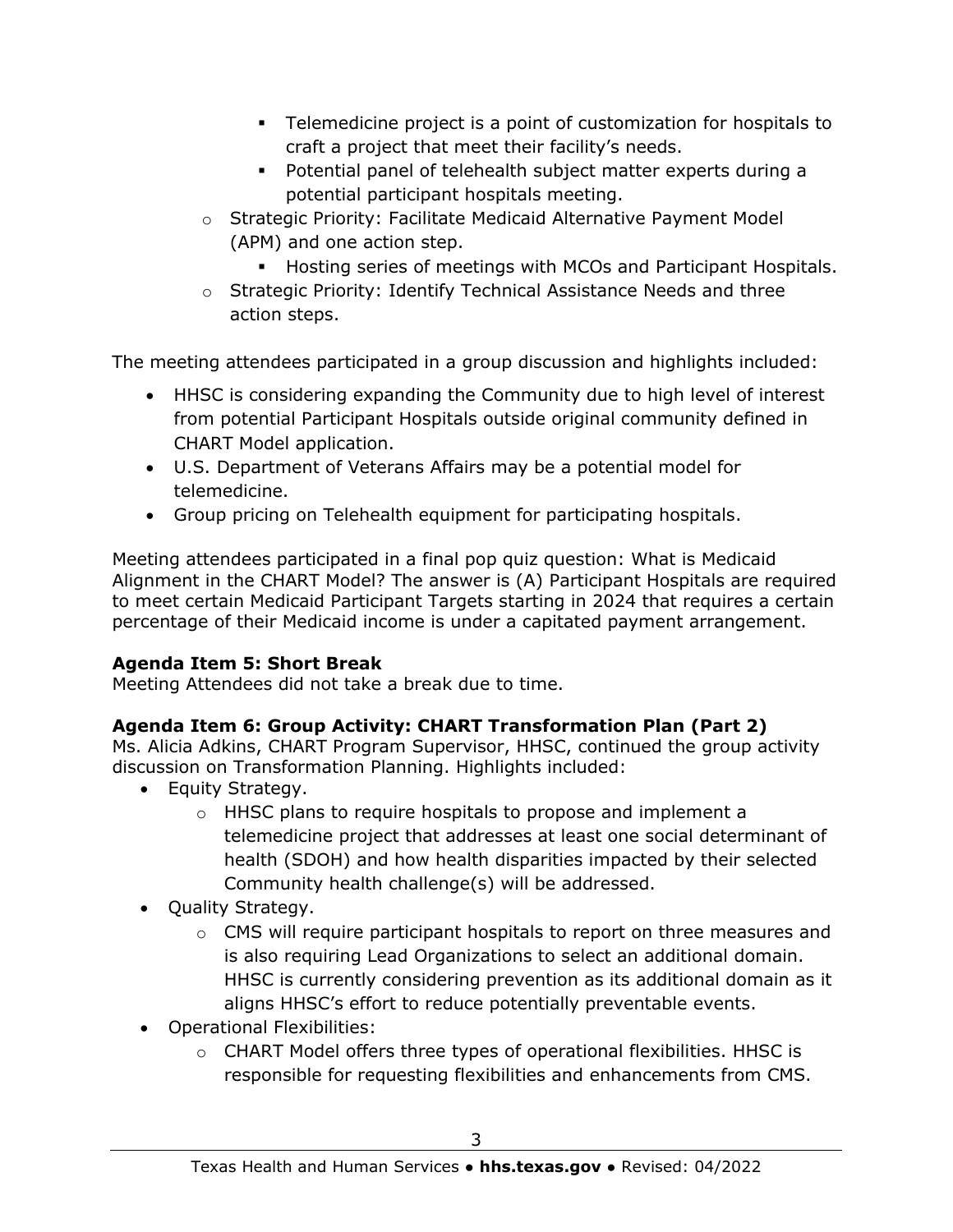- Telemedicine project is a point of customization for hospitals to craft a project that meet their facility's needs.
- Potential panel of telehealth subject matter experts during a potential participant hospitals meeting.
- o Strategic Priority: Facilitate Medicaid Alternative Payment Model (APM) and one action step.
	- Hosting series of meetings with MCOs and Participant Hospitals.
- o Strategic Priority: Identify Technical Assistance Needs and three action steps.

The meeting attendees participated in a group discussion and highlights included:

- HHSC is considering expanding the Community due to high level of interest from potential Participant Hospitals outside original community defined in CHART Model application.
- U.S. Department of Veterans Affairs may be a potential model for telemedicine.
- Group pricing on Telehealth equipment for participating hospitals.

Meeting attendees participated in a final pop quiz question: What is Medicaid Alignment in the CHART Model? The answer is (A) Participant Hospitals are required to meet certain Medicaid Participant Targets starting in 2024 that requires a certain percentage of their Medicaid income is under a capitated payment arrangement.

# **Agenda Item 5: Short Break**

Meeting Attendees did not take a break due to time.

# **Agenda Item 6: Group Activity: CHART Transformation Plan (Part 2)**

Ms. Alicia Adkins, CHART Program Supervisor, HHSC, continued the group activity discussion on Transformation Planning. Highlights included:

- Equity Strategy.
	- $\circ$  HHSC plans to require hospitals to propose and implement a telemedicine project that addresses at least one social determinant of health (SDOH) and how health disparities impacted by their selected Community health challenge(s) will be addressed.
- Quality Strategy.
	- o CMS will require participant hospitals to report on three measures and is also requiring Lead Organizations to select an additional domain. HHSC is currently considering prevention as its additional domain as it aligns HHSC's effort to reduce potentially preventable events.
- Operational Flexibilities:
	- o CHART Model offers three types of operational flexibilities. HHSC is responsible for requesting flexibilities and enhancements from CMS.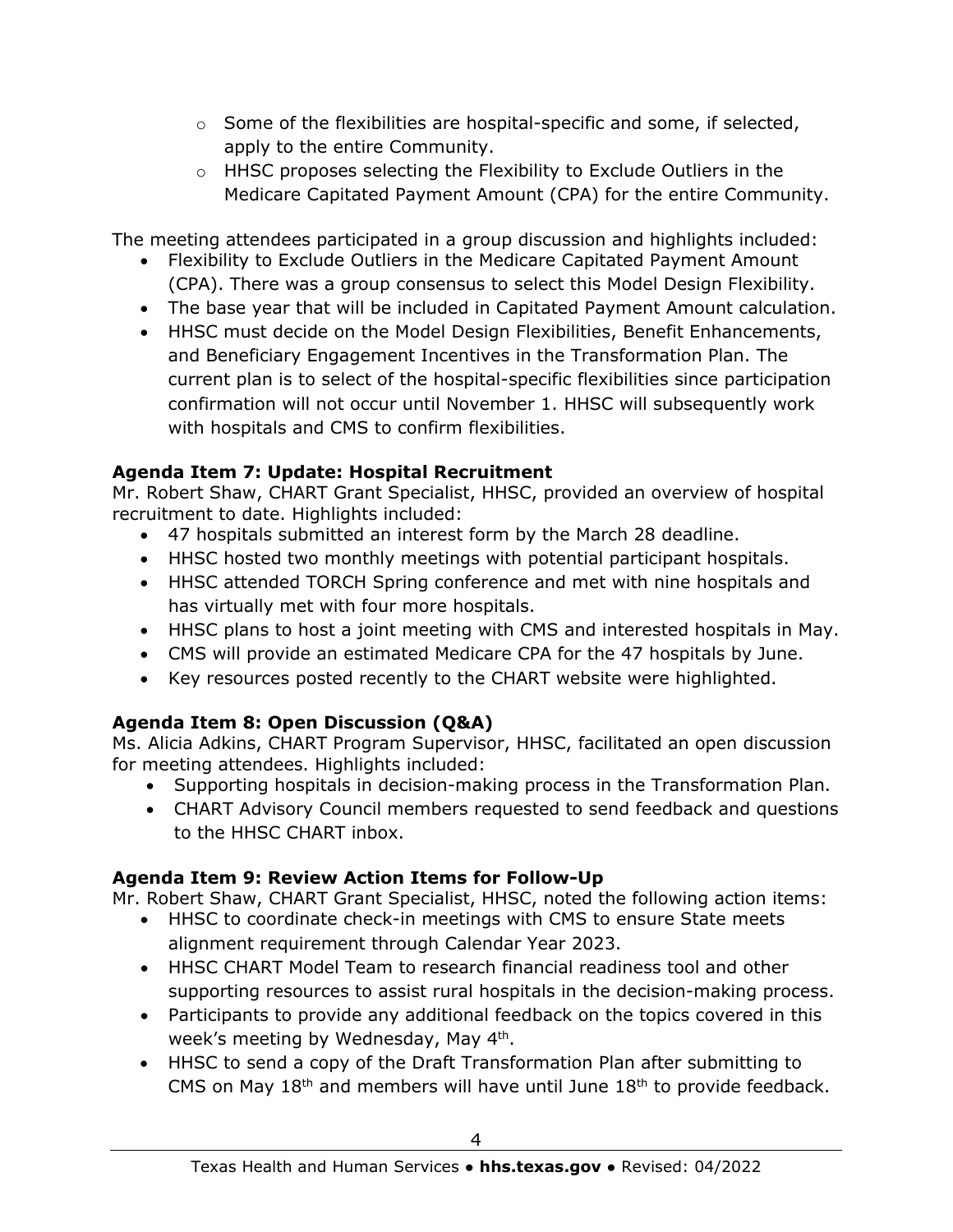- $\circ$  Some of the flexibilities are hospital-specific and some, if selected, apply to the entire Community.
- o HHSC proposes selecting the Flexibility to Exclude Outliers in the Medicare Capitated Payment Amount (CPA) for the entire Community.

The meeting attendees participated in a group discussion and highlights included:

- Flexibility to Exclude Outliers in the Medicare Capitated Payment Amount (CPA). There was a group consensus to select this Model Design Flexibility.
- The base year that will be included in Capitated Payment Amount calculation.
- HHSC must decide on the Model Design Flexibilities, Benefit Enhancements, and Beneficiary Engagement Incentives in the Transformation Plan. The current plan is to select of the hospital-specific flexibilities since participation confirmation will not occur until November 1. HHSC will subsequently work with hospitals and CMS to confirm flexibilities.

## **Agenda Item 7: Update: Hospital Recruitment**

Mr. Robert Shaw, CHART Grant Specialist, HHSC, provided an overview of hospital recruitment to date. Highlights included:

- 47 hospitals submitted an interest form by the March 28 deadline.
- HHSC hosted two monthly meetings with potential participant hospitals.
- HHSC attended TORCH Spring conference and met with nine hospitals and has virtually met with four more hospitals.
- HHSC plans to host a joint meeting with CMS and interested hospitals in May.
- CMS will provide an estimated Medicare CPA for the 47 hospitals by June.
- Key resources posted recently to the CHART website were highlighted.

# **Agenda Item 8: Open Discussion (Q&A)**

Ms. Alicia Adkins, CHART Program Supervisor, HHSC, facilitated an open discussion for meeting attendees. Highlights included:

- Supporting hospitals in decision-making process in the Transformation Plan.
- CHART Advisory Council members requested to send feedback and questions to the HHSC CHART inbox.

# **Agenda Item 9: Review Action Items for Follow-Up**

Mr. Robert Shaw, CHART Grant Specialist, HHSC, noted the following action items:

- HHSC to coordinate check-in meetings with CMS to ensure State meets alignment requirement through Calendar Year 2023.
- HHSC CHART Model Team to research financial readiness tool and other supporting resources to assist rural hospitals in the decision-making process.
- Participants to provide any additional feedback on the topics covered in this week's meeting by Wednesday, May 4<sup>th</sup>.
- HHSC to send a copy of the Draft Transformation Plan after submitting to CMS on May  $18<sup>th</sup>$  and members will have until June  $18<sup>th</sup>$  to provide feedback.